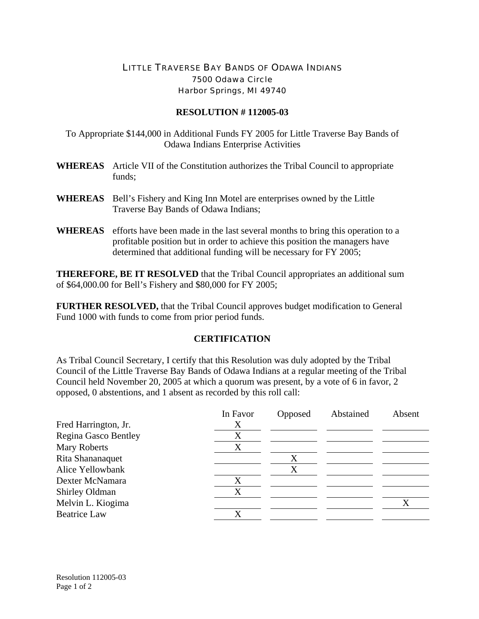## LITTLE TRAVERSE BAY BANDS OF ODAWA INDIANS 7500 Odawa Circle Harbor Springs, MI 49740

## **RESOLUTION # 112005-03**

To Appropriate \$144,000 in Additional Funds FY 2005 for Little Traverse Bay Bands of Odawa Indians Enterprise Activities

- **WHEREAS** Article VII of the Constitution authorizes the Tribal Council to appropriate funds;
- **WHEREAS** Bell's Fishery and King Inn Motel are enterprises owned by the Little Traverse Bay Bands of Odawa Indians;
- **WHEREAS** efforts have been made in the last several months to bring this operation to a profitable position but in order to achieve this position the managers have determined that additional funding will be necessary for FY 2005;

**THEREFORE, BE IT RESOLVED** that the Tribal Council appropriates an additional sum of \$64,000.00 for Bell's Fishery and \$80,000 for FY 2005;

**FURTHER RESOLVED,** that the Tribal Council approves budget modification to General Fund 1000 with funds to come from prior period funds.

## **CERTIFICATION**

As Tribal Council Secretary, I certify that this Resolution was duly adopted by the Tribal Council of the Little Traverse Bay Bands of Odawa Indians at a regular meeting of the Tribal Council held November 20, 2005 at which a quorum was present, by a vote of 6 in favor, 2 opposed, 0 abstentions, and 1 absent as recorded by this roll call:

|                             | In Favor | Opposed | Abstained | Absent |
|-----------------------------|----------|---------|-----------|--------|
| Fred Harrington, Jr.        | Х        |         |           |        |
| <b>Regina Gasco Bentley</b> | X        |         |           |        |
| <b>Mary Roberts</b>         | X        |         |           |        |
| Rita Shananaquet            |          |         |           |        |
| Alice Yellowbank            |          |         |           |        |
| Dexter McNamara             | Х        |         |           |        |
| Shirley Oldman              | X        |         |           |        |
| Melvin L. Kiogima           |          |         |           |        |
| <b>Beatrice Law</b>         |          |         |           |        |